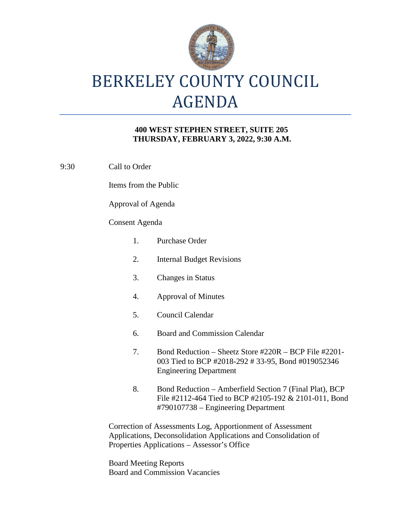

# BERKELEY COUNTY COUNCIL AGENDA

### **400 WEST STEPHEN STREET, SUITE 205 THURSDAY, FEBRUARY 3, 2022, 9:30 A.M.**

9:30 Call to Order

Items from the Public

Approval of Agenda

### Consent Agenda

| 1.                                                                                                                            | Purchase Order                                                                                                                                          |
|-------------------------------------------------------------------------------------------------------------------------------|---------------------------------------------------------------------------------------------------------------------------------------------------------|
| 2.                                                                                                                            | <b>Internal Budget Revisions</b>                                                                                                                        |
| 3.                                                                                                                            | <b>Changes in Status</b>                                                                                                                                |
| 4.                                                                                                                            | <b>Approval of Minutes</b>                                                                                                                              |
| 5.                                                                                                                            | Council Calendar                                                                                                                                        |
| 6.                                                                                                                            | Board and Commission Calendar                                                                                                                           |
| 7.                                                                                                                            | Bond Reduction – Sheetz Store #220R – BCP File #2201-<br>003 Tied to BCP #2018-292 #33-95, Bond #019052346<br><b>Engineering Department</b>             |
| 8.                                                                                                                            | Bond Reduction – Amberfield Section 7 (Final Plat), BCP<br>File #2112-464 Tied to BCP #2105-192 & 2101-011, Bond<br>#790107738 – Engineering Department |
| Correction of Assessments Log, Apportionment of Assessment<br>Applications, Deconsolidation Applications and Consolidation of |                                                                                                                                                         |

Applications, Deconsolidation Applications and Consolidation of Properties Applications – Assessor's Office

Board Meeting Reports Board and Commission Vacancies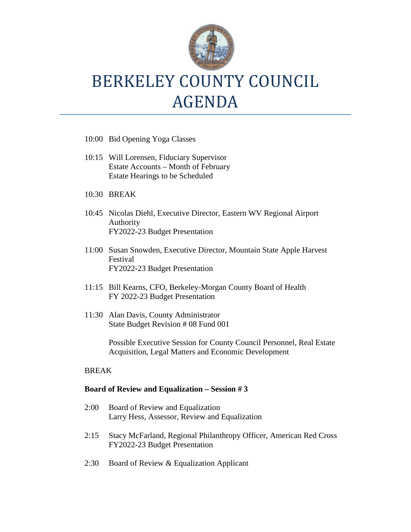

## BERKELEY COUNTY COUNCIL AGENDA

- 10:00 Bid Opening Yoga Classes
- 10:15 Will Lorensen, Fiduciary Supervisor Estate Accounts – Month of February Estate Hearings to be Scheduled
- 10:30 BREAK
- 10:45 Nicolas Diehl, Executive Director, Eastern WV Regional Airport Authority FY2022-23 Budget Presentation
- 11:00 Susan Snowden, Executive Director, Mountain State Apple Harvest Festival FY2022-23 Budget Presentation
- 11:15 Bill Kearns, CFO, Berkeley-Morgan County Board of Health FY 2022-23 Budget Presentation
- 11:30 Alan Davis, County Administrator State Budget Revision # 08 Fund 001

Possible Executive Session for County Council Personnel, Real Estate Acquisition, Legal Matters and Economic Development

### BREAK

#### **Board of Review and Equalization – Session # 3**

- 2:00 Board of Review and Equalization Larry Hess, Assessor, Review and Equalization
- 2:15 Stacy McFarland, Regional Philanthropy Officer, American Red Cross FY2022-23 Budget Presentation
- 2:30 Board of Review & Equalization Applicant